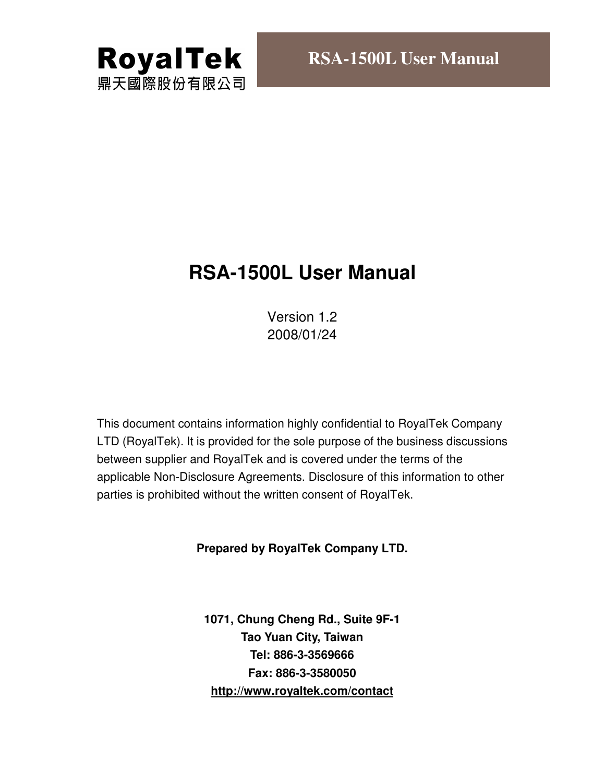

# **RSA-1500L User Manual**

Version 1.2 2008/01/24

This document contains information highly confidential to RoyalTek Company LTD (RoyalTek). It is provided for the sole purpose of the business discussions between supplier and RoyalTek and is covered under the terms of the applicable Non-Disclosure Agreements. Disclosure of this information to other parties is prohibited without the written consent of RoyalTek.

### **Prepared by RoyalTek Company LTD.**

**1071, Chung Cheng Rd., Suite 9F-1 Tao Yuan City, Taiwan Tel: 886-3-3569666 Fax: 886-3-3580050 http://www.royaltek.com/contact**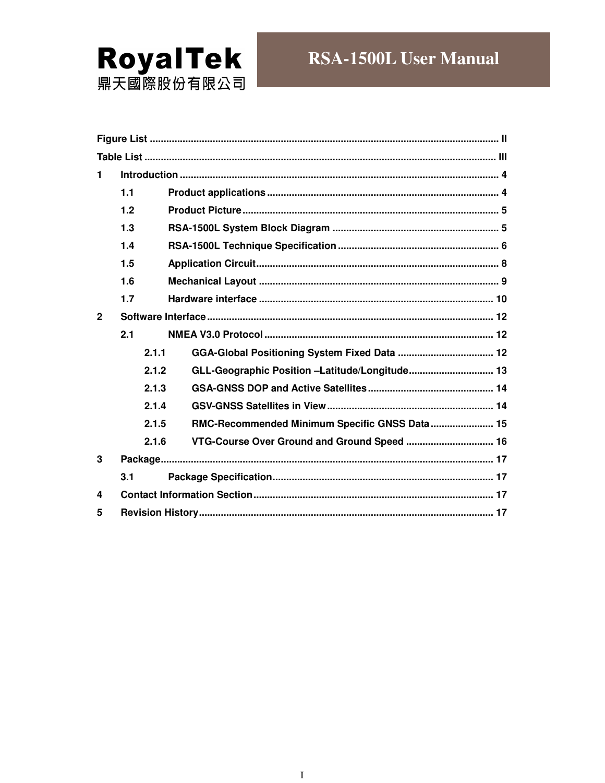

| 1              |       |                                                |  |  |  |  |
|----------------|-------|------------------------------------------------|--|--|--|--|
|                | 1.1   |                                                |  |  |  |  |
|                | 1.2   |                                                |  |  |  |  |
|                | 1.3   |                                                |  |  |  |  |
|                | 1.4   |                                                |  |  |  |  |
|                | 1.5   |                                                |  |  |  |  |
|                | 1.6   |                                                |  |  |  |  |
|                | 1.7   |                                                |  |  |  |  |
| $\overline{2}$ |       |                                                |  |  |  |  |
|                | 2.1   |                                                |  |  |  |  |
|                | 2.1.1 |                                                |  |  |  |  |
|                | 2.1.2 | GLL-Geographic Position -Latitude/Longitude 13 |  |  |  |  |
|                | 2.1.3 |                                                |  |  |  |  |
|                | 2.1.4 |                                                |  |  |  |  |
|                | 2.1.5 | RMC-Recommended Minimum Specific GNSS Data 15  |  |  |  |  |
|                | 2.1.6 | VTG-Course Over Ground and Ground Speed  16    |  |  |  |  |
| 3              |       |                                                |  |  |  |  |
|                | 3.1   |                                                |  |  |  |  |
| 4              |       |                                                |  |  |  |  |
| 5              |       |                                                |  |  |  |  |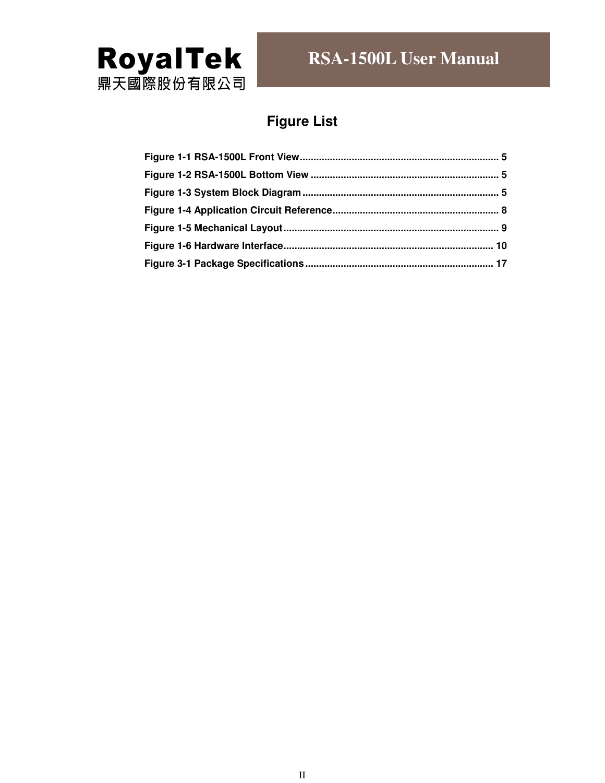

# **Figure List**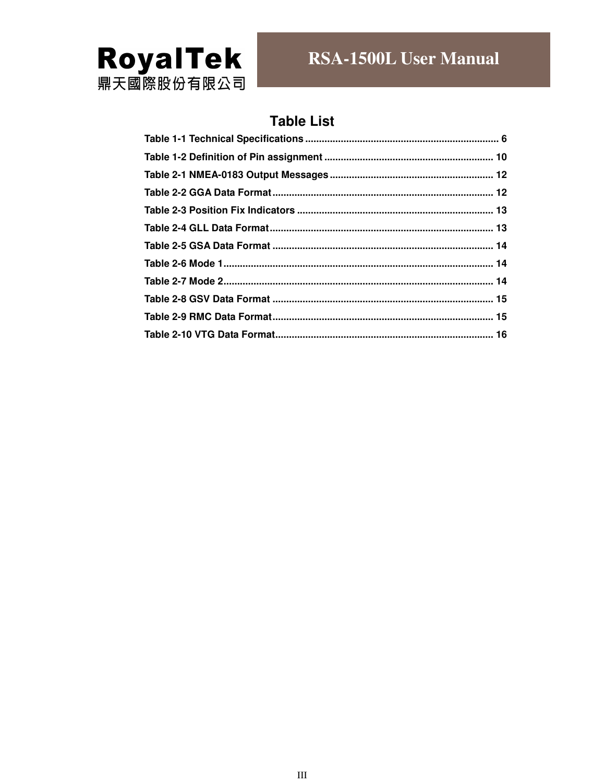

# **Table List**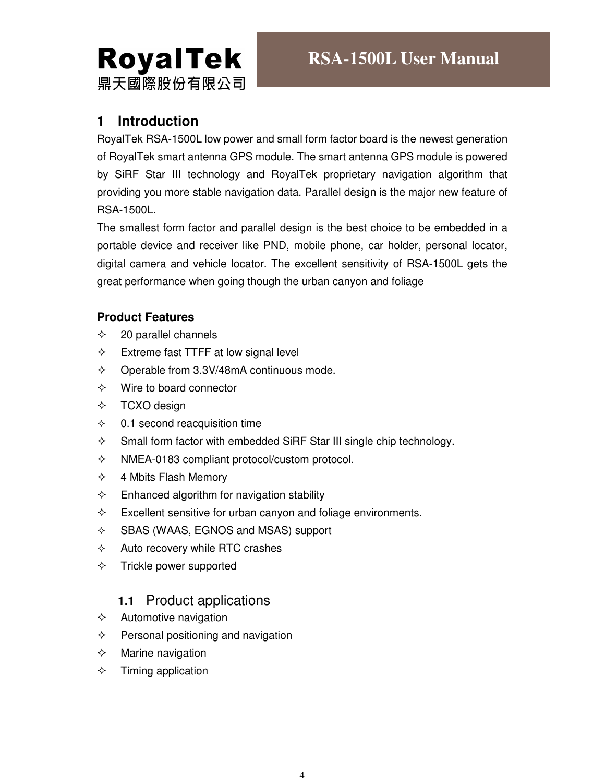# **RoyalTek** 鼎天國際股份有限公司

# **1 Introduction**

RoyalTek RSA-1500L low power and small form factor board is the newest generation of RoyalTek smart antenna GPS module. The smart antenna GPS module is powered by SiRF Star III technology and RoyalTek proprietary navigation algorithm that providing you more stable navigation data. Parallel design is the major new feature of RSA-1500L.

The smallest form factor and parallel design is the best choice to be embedded in a portable device and receiver like PND, mobile phone, car holder, personal locator, digital camera and vehicle locator. The excellent sensitivity of RSA-1500L gets the great performance when going though the urban canyon and foliage

### **Product Features**

- $\div$  20 parallel channels
- $\Diamond$  Extreme fast TTFF at low signal level
- $\div$  Operable from 3.3V/48mA continuous mode.
- $\Leftrightarrow$  Wire to board connector
- $\Diamond$  TCXO design
- $\div$  0.1 second reacquisition time
- $\Diamond$  Small form factor with embedded SiRF Star III single chip technology.
- $\Diamond$  NMEA-0183 compliant protocol/custom protocol.
- $\div$  4 Mbits Flash Memory
- $\Diamond$  Enhanced algorithm for navigation stability
- $\Diamond$  Excellent sensitive for urban canyon and foliage environments.
- $\Diamond$  SBAS (WAAS, EGNOS and MSAS) support
- $\Diamond$  Auto recovery while RTC crashes
- $\Diamond$  Trickle power supported

# **1.1** Product applications

- $\Leftrightarrow$  Automotive navigation
- $\Diamond$  Personal positioning and navigation
- $\Diamond$  Marine navigation
- $\Diamond$  Timing application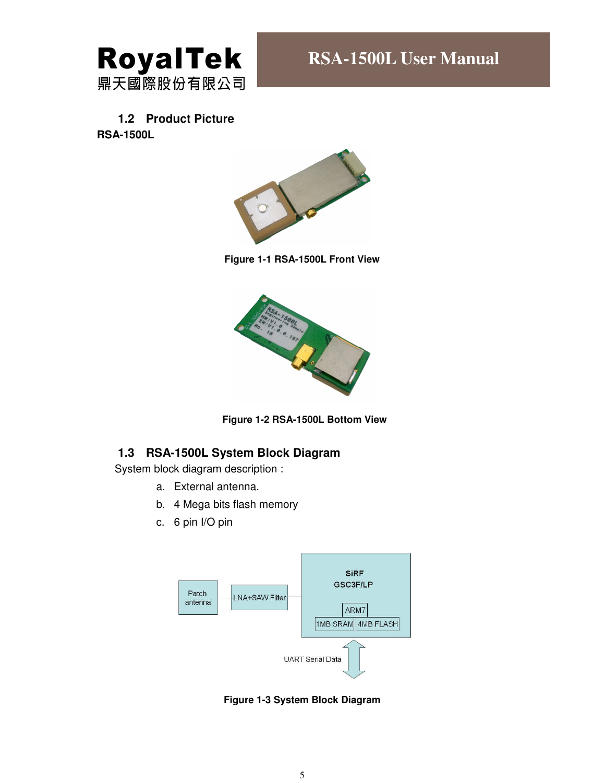

# **1.2 Product Picture**

**RSA-1500L** 



**Figure 1-1 RSA-1500L Front View** 





#### **1.3 RSA-1500L System Block Diagram**

System block diagram description :

- a. External antenna.
- b. 4 Mega bits flash memory
- c. 6 pin I/O pin



**Figure 1-3 System Block Diagram**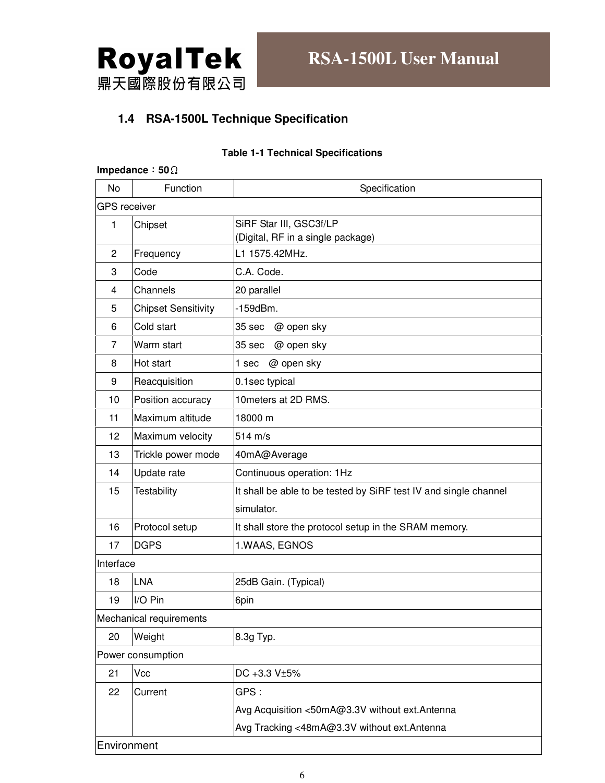

#### **1.4 RSA-1500L Technique Specification**

#### **Table 1-1 Technical Specifications**

|                | Impedance: $50\Omega$      |                                                                  |  |  |  |
|----------------|----------------------------|------------------------------------------------------------------|--|--|--|
| No             | Function                   | Specification                                                    |  |  |  |
|                | <b>GPS</b> receiver        |                                                                  |  |  |  |
| 1              | Chipset                    | SiRF Star III, GSC3f/LP                                          |  |  |  |
|                |                            | (Digital, RF in a single package)                                |  |  |  |
| $\overline{c}$ | Frequency                  | L1 1575.42MHz.                                                   |  |  |  |
| 3              | Code                       | C.A. Code.                                                       |  |  |  |
| 4              | Channels                   | 20 parallel                                                      |  |  |  |
| 5              | <b>Chipset Sensitivity</b> | $-159dBm.$                                                       |  |  |  |
| 6              | Cold start                 | 35 sec<br>@ open sky                                             |  |  |  |
| $\overline{7}$ | Warm start                 | @ open sky<br>35 sec                                             |  |  |  |
| 8              | Hot start                  | @ open sky<br>1 sec                                              |  |  |  |
| 9              | Reacquisition              | 0.1sec typical                                                   |  |  |  |
| 10             | Position accuracy          | 10 meters at 2D RMS.                                             |  |  |  |
| 11             | Maximum altitude           | 18000 m                                                          |  |  |  |
| 12             | Maximum velocity           | $514 \text{ m/s}$                                                |  |  |  |
| 13             | Trickle power mode         | 40mA@Average                                                     |  |  |  |
| 14             | Update rate                | Continuous operation: 1Hz                                        |  |  |  |
| 15             | Testability                | It shall be able to be tested by SiRF test IV and single channel |  |  |  |
|                |                            | simulator.                                                       |  |  |  |
| 16             | Protocol setup             | It shall store the protocol setup in the SRAM memory.            |  |  |  |
| 17             | <b>DGPS</b>                | 1.WAAS, EGNOS                                                    |  |  |  |
| Interface      |                            |                                                                  |  |  |  |
| 18             | <b>LNA</b>                 | 25dB Gain. (Typical)                                             |  |  |  |
| 19             | I/O Pin                    | 6pin                                                             |  |  |  |
|                | Mechanical requirements    |                                                                  |  |  |  |
| 20             | Weight                     | 8.3g Typ.                                                        |  |  |  |
|                | Power consumption          |                                                                  |  |  |  |
| 21             | Vcc                        | DC +3.3 V±5%                                                     |  |  |  |
| 22             | Current                    | GPS:                                                             |  |  |  |
|                |                            | Avg Acquisition <50mA@3.3V without ext.Antenna                   |  |  |  |
|                |                            | Avg Tracking <48mA@3.3V without ext.Antenna                      |  |  |  |
|                |                            |                                                                  |  |  |  |

Environment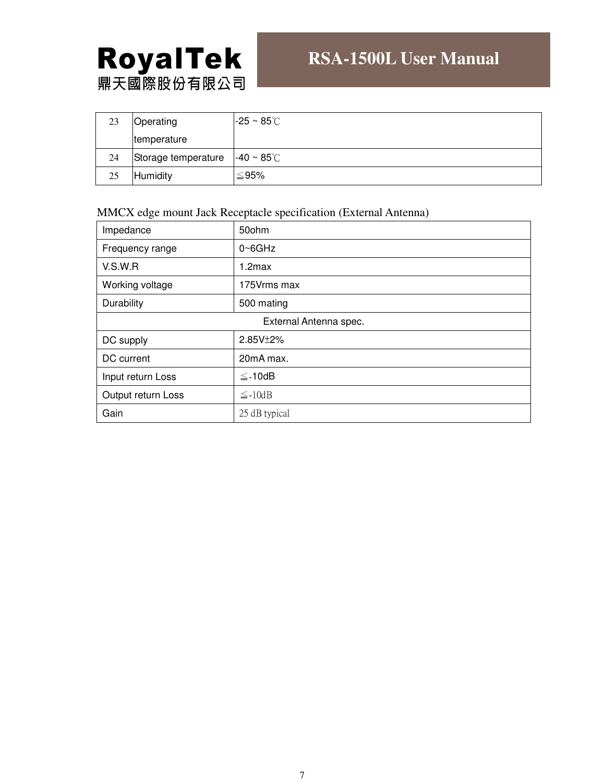# **RoyalTek**<br>鼎天國際股份有限公司

| 23 | Operating           | $-25 \sim 85^{\circ}$ C |
|----|---------------------|-------------------------|
|    | temperature         |                         |
| 24 | Storage temperature | $-40 \sim 85^{\circ}$ C |
| 25 | Humidity            | ≤95%                    |

#### MMCX edge mount Jack Receptacle specification (External Antenna)

| Impedance              | 50ohm               |  |  |  |
|------------------------|---------------------|--|--|--|
| Frequency range        | $0 \triangle 6$ GHz |  |  |  |
| V.S.W.R                | $1.2$ max           |  |  |  |
| Working voltage        | 175Vrms max         |  |  |  |
| Durability             | 500 mating          |  |  |  |
| External Antenna spec. |                     |  |  |  |
| DC supply              | 2.85V±2%            |  |  |  |
| DC current             | 20mA max.           |  |  |  |
| Input return Loss      | $\leq$ -10dB        |  |  |  |
| Output return Loss     | $\leq$ -10dB        |  |  |  |
| Gain                   | 25 dB typical       |  |  |  |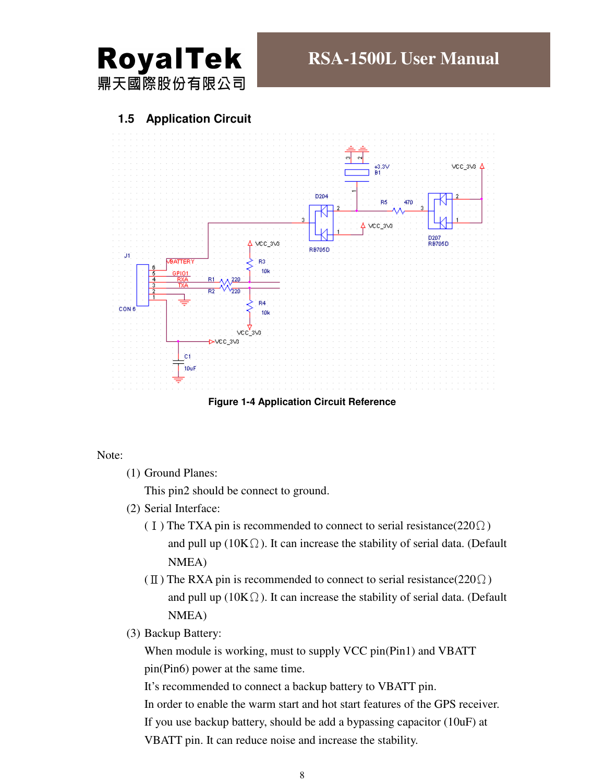

#### **1.5 Application Circuit**



**Figure 1-4 Application Circuit Reference** 

Note:

(1) Ground Planes:

This pin2 should be connect to ground.

- (2) Serial Interface:
	- (I) The TXA pin is recommended to connect to serial resistance( $220\Omega$ ) and pull up ( $10K\Omega$ ). It can increase the stability of serial data. (Default NMEA)
	- ( $\text{II}$ ) The RXA pin is recommended to connect to serial resistance(220 $\Omega$ ) and pull up ( $10K\Omega$ ). It can increase the stability of serial data. (Default NMEA)
- (3) Backup Battery:

When module is working, must to supply VCC pin(Pin1) and VBATT pin(Pin6) power at the same time.

It's recommended to connect a backup battery to VBATT pin.

In order to enable the warm start and hot start features of the GPS receiver. If you use backup battery, should be add a bypassing capacitor (10uF) at VBATT pin. It can reduce noise and increase the stability.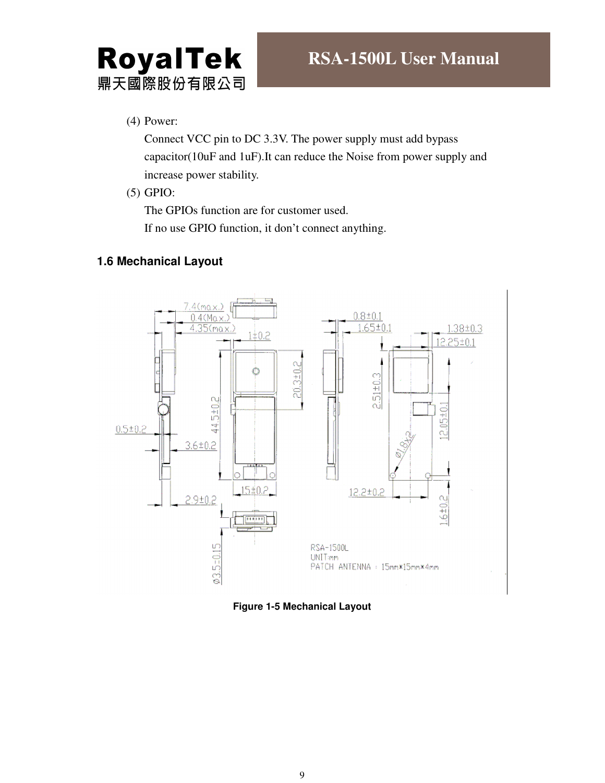# RoyalTek 鼎天國際股份有限公司

(4) Power:

Connect VCC pin to DC 3.3V. The power supply must add bypass capacitor(10uF and 1uF).It can reduce the Noise from power supply and increase power stability.

(5) GPIO:

The GPIOs function are for customer used.

If no use GPIO function, it don't connect anything.

#### **1.6 Mechanical Layout**



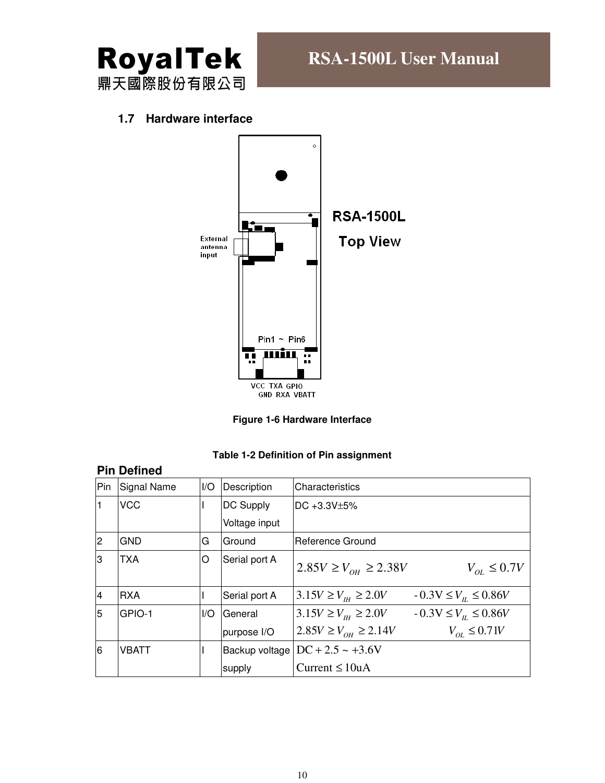

#### **1.7 Hardware interface**



**Figure 1-6 Hardware Interface** 

|                | <b>Pin Defined</b> |     |               |                                      |                                    |  |
|----------------|--------------------|-----|---------------|--------------------------------------|------------------------------------|--|
| Pin            | <b>Signal Name</b> | I/O | Description   | Characteristics                      |                                    |  |
|                | <b>VCC</b>         |     | DC Supply     | $DC +3.3V±5%$                        |                                    |  |
|                |                    |     | Voltage input |                                      |                                    |  |
| 2              | <b>GND</b>         | G   | Ground        | Reference Ground                     |                                    |  |
| З              | <b>TXA</b>         | O   | Serial port A | $2.85V \ge V_{OH} \ge 2.38V$         | $V_{OL} \leq 0.7V$                 |  |
| $\overline{4}$ | <b>RXA</b>         |     | Serial port A | $3.15V \ge V_{\mu} \ge 2.0V$         | $-0.3V \le V_{\text{H}} \le 0.86V$ |  |
| 5              | GPIO-1             | I/O | General       | $3.15V \ge V_{\mu} \ge 2.0V$         | $-0.3V \le V_{\text{H}} \le 0.86V$ |  |
|                |                    |     | purpose I/O   | $2.85V \ge V_{OH} \ge 2.14V$         | $V_{oi} \leq 0.71V$                |  |
| 6              | <b>VBATT</b>       |     |               | Backup voltage $DC + 2.5 \sim +3.6V$ |                                    |  |
|                |                    |     | supply        | Current $\leq 10$ uA                 |                                    |  |

#### **Table 1-2 Definition of Pin assignment**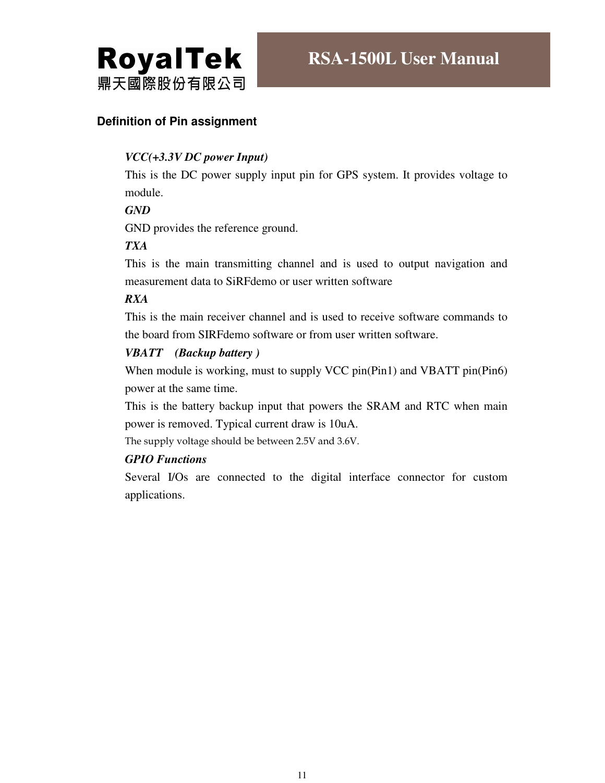

#### **Definition of Pin assignment**

#### *VCC(+3.3V DC power Input)*

This is the DC power supply input pin for GPS system. It provides voltage to module.

#### *GND*

GND provides the reference ground.

#### *TXA*

This is the main transmitting channel and is used to output navigation and measurement data to SiRFdemo or user written software

#### *RXA*

This is the main receiver channel and is used to receive software commands to the board from SIRFdemo software or from user written software.

#### *VBATT (Backup battery )*

When module is working, must to supply VCC pin(Pin1) and VBATT pin(Pin6) power at the same time.

This is the battery backup input that powers the SRAM and RTC when main power is removed. Typical current draw is 10uA.

The supply voltage should be between 2.5V and 3.6V.

#### *GPIO Functions*

Several I/Os are connected to the digital interface connector for custom applications.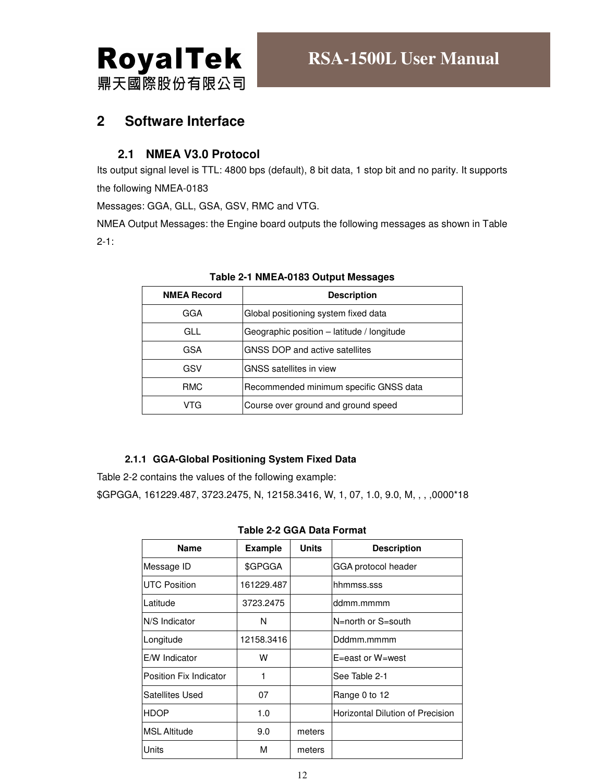

# **2 Software Interface**

#### **2.1 NMEA V3.0 Protocol**

Its output signal level is TTL: 4800 bps (default), 8 bit data, 1 stop bit and no parity. It supports the following NMEA-0183

Messages: GGA, GLL, GSA, GSV, RMC and VTG.

NMEA Output Messages: the Engine board outputs the following messages as shown in Table 2-1:

| <b>NMEA Record</b> | <b>Description</b>                         |  |  |
|--------------------|--------------------------------------------|--|--|
| GGA                | Global positioning system fixed data       |  |  |
| GLL                | Geographic position - latitude / longitude |  |  |
| <b>GSA</b>         | GNSS DOP and active satellites             |  |  |
| GSV                | <b>GNSS</b> satellites in view             |  |  |
| <b>RMC</b>         | Recommended minimum specific GNSS data     |  |  |
| VTG                | Course over ground and ground speed        |  |  |

#### **Table 2-1 NMEA-0183 Output Messages**

#### **2.1.1 GGA-Global Positioning System Fixed Data**

Table 2-2 contains the values of the following example:

\$GPGGA, 161229.487, 3723.2475, N, 12158.3416, W, 1, 07, 1.0, 9.0, M, , , ,0000\*18

|  |  |  |  | <b>Table 2-2 GGA Data Format</b> |
|--|--|--|--|----------------------------------|
|--|--|--|--|----------------------------------|

| <b>Name</b>             | <b>Example</b> | <b>Units</b> | <b>Description</b>               |
|-------------------------|----------------|--------------|----------------------------------|
| Message ID              | \$GPGGA        |              | GGA protocol header              |
| <b>IUTC Position</b>    | 161229.487     |              | hhmmss.sss                       |
| Latitude                | 3723.2475      |              | ddmm.mmmm                        |
| N/S Indicator           | N              |              | N=north or S=south               |
| Longitude               | 12158.3416     |              | Dddmm.mmmm                       |
| <b>E/W</b> Indicator    | w              |              | $E = east$ or $W = west$         |
| lPosition Fix Indicator | 1              |              | See Table 2-1                    |
| <b>Satellites Used</b>  | 07             |              | Range 0 to 12                    |
| <b>HDOP</b>             | 1.0            |              | Horizontal Dilution of Precision |
| <b>IMSL Altitude</b>    | 9.0            | meters       |                                  |
| <b>Units</b>            | М              | meters       |                                  |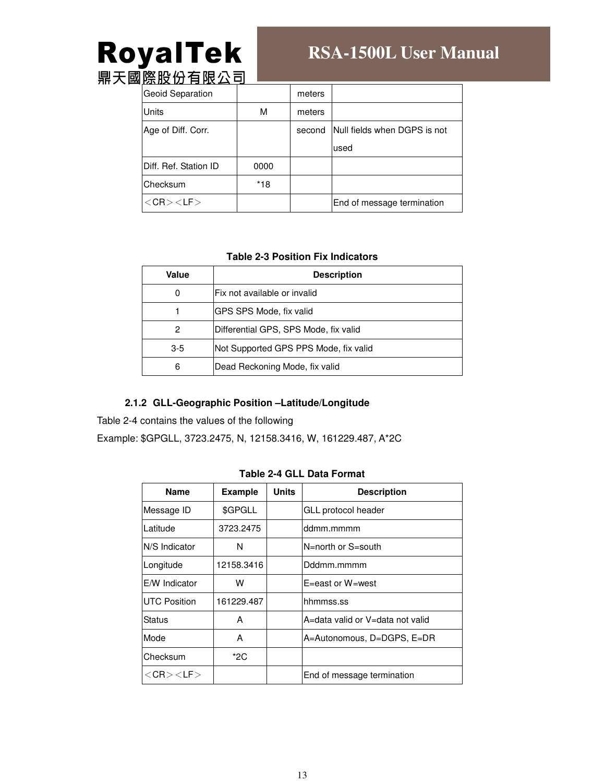# RoyalTek

# **RSA-1500L User Manual**

鼎天國<u>際股份有限公司</u>

| Geoid Separation              |      | meters |                              |
|-------------------------------|------|--------|------------------------------|
| Units                         | М    | meters |                              |
| Age of Diff. Corr.            |      | second | Null fields when DGPS is not |
|                               |      |        | used                         |
| <b>IDiff. Ref. Station ID</b> | 0000 |        |                              |
| Checksum                      | *18  |        |                              |
| $<$ CR $>$ $<$ LF $>$         |      |        | End of message termination   |

#### **Table 2-3 Position Fix Indicators**

| Value | <b>Description</b>                    |  |  |
|-------|---------------------------------------|--|--|
| 0     | Fix not available or invalid          |  |  |
|       | <b>IGPS SPS Mode, fix valid</b>       |  |  |
| 2     | Differential GPS, SPS Mode, fix valid |  |  |
| $3-5$ | Not Supported GPS PPS Mode, fix valid |  |  |
| 6     | Dead Reckoning Mode, fix valid        |  |  |

#### **2.1.2 GLL-Geographic Position –Latitude/Longitude**

Table 2-4 contains the values of the following

Example: \$GPGLL, 3723.2475, N, 12158.3416, W, 161229.487, A\*2C

#### **Table 2-4 GLL Data Format**

| <b>Name</b>           | <b>Example</b> | <b>Units</b> | <b>Description</b>               |
|-----------------------|----------------|--------------|----------------------------------|
| Message ID            | \$GPGLL        |              | GLL protocol header              |
| Latitude              | 3723.2475      |              | ddmm.mmmm                        |
| N/S Indicator         | N              |              | N=north or S=south               |
| Longitude             | 12158.3416     |              | Dddmm.mmmm                       |
| <b>E/W</b> Indicator  | w              |              | E=east or W=west                 |
| <b>UTC Position</b>   | 161229.487     |              | hhmmss.ss                        |
| Status                | А              |              | A=data valid or V=data not valid |
| Mode                  | A              |              | A=Autonomous, D=DGPS, E=DR       |
| <b>Checksum</b>       | $*2C$          |              |                                  |
| $<$ CR $>$ $<$ LF $>$ |                |              | End of message termination       |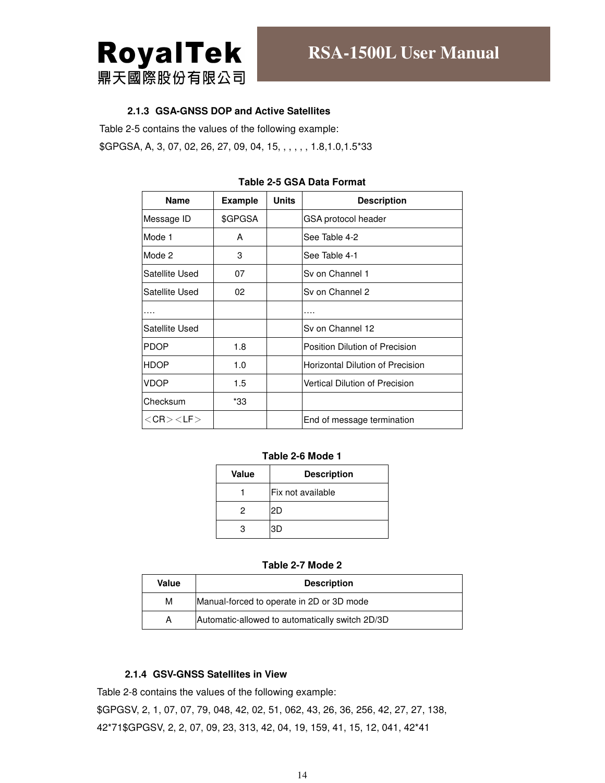

#### **2.1.3 GSA-GNSS DOP and Active Satellites**

Table 2-5 contains the values of the following example:

\$GPGSA, A, 3, 07, 02, 26, 27, 09, 04, 15, , , , , , 1.8,1.0,1.5\*33

| <b>Name</b>           | <b>Example</b> | <b>Units</b> | <b>Description</b>                    |
|-----------------------|----------------|--------------|---------------------------------------|
| Message ID            | \$GPGSA        |              | GSA protocol header                   |
| Mode 1                | A              |              | See Table 4-2                         |
| Mode 2                | 3              |              | See Table 4-1                         |
| Satellite Used        | 07             |              | Sy on Channel 1                       |
| Satellite Used        | 02             |              | Sy on Channel 2                       |
| .                     |                |              | .                                     |
| Satellite Used        |                |              | Sv on Channel 12                      |
| <b>PDOP</b>           | 1.8            |              | Position Dilution of Precision        |
| <b>HDOP</b>           | 1.0            |              | Horizontal Dilution of Precision      |
| <b>VDOP</b>           | 1.5            |              | <b>Vertical Dilution of Precision</b> |
| Checksum              | *33            |              |                                       |
| $<$ CR $>$ $<$ LF $>$ |                |              | End of message termination            |

#### **Table 2-5 GSA Data Format**

#### **Table 2-6 Mode 1**

| Value | <b>Description</b> |  |
|-------|--------------------|--|
|       | Fix not available  |  |
| 2     | 2D                 |  |
| з     | ЗD                 |  |

#### **Table 2-7 Mode 2**

| Value | <b>Description</b>                              |  |  |
|-------|-------------------------------------------------|--|--|
| М     | Manual-forced to operate in 2D or 3D mode       |  |  |
| А     | Automatic-allowed to automatically switch 2D/3D |  |  |

#### **2.1.4 GSV-GNSS Satellites in View**

Table 2-8 contains the values of the following example: \$GPGSV, 2, 1, 07, 07, 79, 048, 42, 02, 51, 062, 43, 26, 36, 256, 42, 27, 27, 138, 42\*71\$GPGSV, 2, 2, 07, 09, 23, 313, 42, 04, 19, 159, 41, 15, 12, 041, 42\*41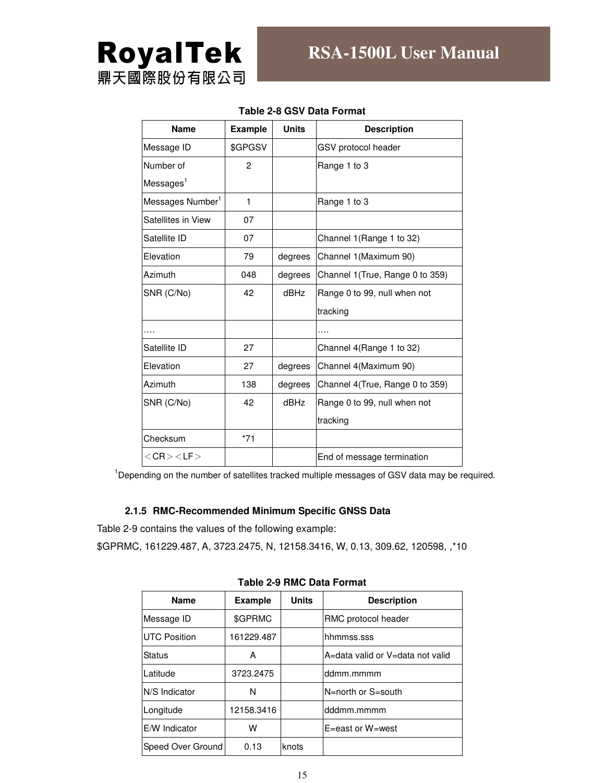

| <b>Name</b>                  | <b>Example</b> | <b>Units</b> | <b>Description</b>               |
|------------------------------|----------------|--------------|----------------------------------|
| Message ID                   | \$GPGSV        |              | GSV protocol header              |
| Number of                    | 2              |              | Range 1 to 3                     |
| Messages <sup>1</sup>        |                |              |                                  |
| Messages Number <sup>1</sup> | $\mathbf{1}$   |              | Range 1 to 3                     |
| Satellites in View           | 07             |              |                                  |
| Satellite ID                 | 07             |              | Channel 1 (Range 1 to 32)        |
| Elevation                    | 79             | degrees      | Channel 1 (Maximum 90)           |
| Azimuth                      | 048            | degrees      | Channel 1 (True, Range 0 to 359) |
| SNR (C/No)                   | 42             | dBHz         | Range 0 to 99, null when not     |
|                              |                |              | tracking                         |
|                              |                |              |                                  |
| Satellite ID                 | 27             |              | Channel 4(Range 1 to 32)         |
| Elevation                    | 27             | degrees      | Channel 4(Maximum 90)            |
| Azimuth                      | 138            | degrees      | Channel 4(True, Range 0 to 359)  |
| SNR (C/No)                   | 42             | <b>dBHz</b>  | Range 0 to 99, null when not     |
|                              |                |              | tracking                         |
| Checksum                     | $*71$          |              |                                  |
| $<$ CR $>$ $<$ LF $>$        |                |              | End of message termination       |

#### **Table 2-8 GSV Data Format**

 $1$ Depending on the number of satellites tracked multiple messages of GSV data may be required.

#### **2.1.5 RMC-Recommended Minimum Specific GNSS Data**

Table 2-9 contains the values of the following example:

\$GPRMC, 161229.487, A, 3723.2475, N, 12158.3416, W, 0.13, 309.62, 120598, ,\*10

| <b>Name</b>          | <b>Example</b> | <b>Units</b> | <b>Description</b>               |
|----------------------|----------------|--------------|----------------------------------|
| Message ID           | \$GPRMC        |              | RMC protocol header              |
| <b>UTC Position</b>  | 161229.487     |              | hhmmss.sss                       |
| Status               | A              |              | A=data valid or V=data not valid |
| Latitude             | 3723.2475      |              | ddmm.mmmm                        |
| N/S Indicator        | N              |              | N=north or S=south               |
| Longitude            | 12158.3416     |              | dddmm.mmmm                       |
| <b>E/W</b> Indicator | w              |              | E=east or W=west                 |
| Speed Over Ground    | 0.13           | knots        |                                  |

**Table 2-9 RMC Data Format**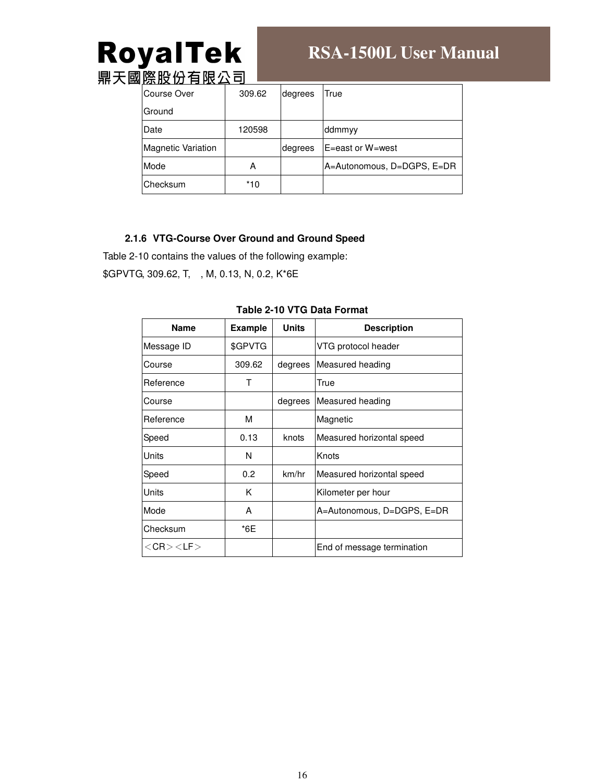# **RoyalTek**<br>鼎天國際股份有限公司

# **RSA-1500L User Manual**

| <b>" 「ᄭᆡᄭ시ᄼᆝᄀᄀᄓᅠ</b>      |        |         |                            |
|---------------------------|--------|---------|----------------------------|
| Course Over               | 309.62 | degrees | True                       |
| Ground                    |        |         |                            |
| Date                      | 120598 |         | ddmmyy                     |
| <b>Magnetic Variation</b> |        | degrees | E=east or W=west           |
| Mode                      | А      |         | A=Autonomous, D=DGPS, E=DR |
| lChecksum                 | *10    |         |                            |

#### **2.1.6 VTG-Course Over Ground and Ground Speed**

Table 2-10 contains the values of the following example:

\$GPVTG, 309.62, T, , M, 0.13, N, 0.2, K\*6E

| <b>Name</b>           | <b>Example</b> | <b>Units</b> | <b>Description</b>         |
|-----------------------|----------------|--------------|----------------------------|
| Message ID            | \$GPVTG        |              | VTG protocol header        |
| Course                | 309.62         | degrees      | Measured heading           |
| Reference             | т              |              | True                       |
| Course                |                | degrees      | Measured heading           |
| <b>IReference</b>     | м              |              | Magnetic                   |
| Speed                 | 0.13           | knots        | Measured horizontal speed  |
| <b>Units</b>          | N              |              | Knots                      |
| Speed                 | 0.2            | km/hr        | Measured horizontal speed  |
| <b>Units</b>          | K              |              | Kilometer per hour         |
| Mode                  | A              |              | A=Autonomous, D=DGPS, E=DR |
| Checksum              | *6E            |              |                            |
| $<$ CR $>$ $<$ LF $>$ |                |              | End of message termination |

#### **Table 2-10 VTG Data Format**